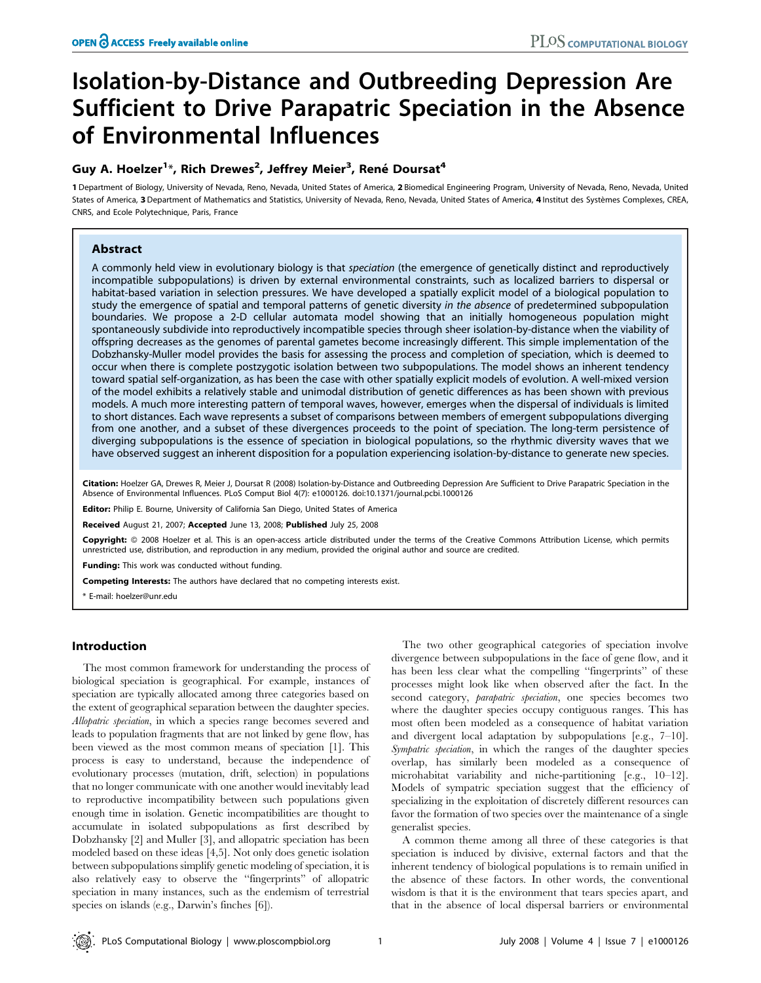# Isolation-by-Distance and Outbreeding Depression Are Sufficient to Drive Parapatric Speciation in the Absence of Environmental Influences

## Guy A. Hoelzer<sup>1</sup>\*, Rich Drewes<sup>2</sup>, Jeffrey Meier<sup>3</sup>, René Doursat<sup>4</sup>

1 Department of Biology, University of Nevada, Reno, Nevada, United States of America, 2 Biomedical Engineering Program, University of Nevada, Reno, Nevada, United States of America, 3 Department of Mathematics and Statistics, University of Nevada, Reno, Nevada, United States of America, 4 Institut des Systèmes Complexes, CREA, CNRS, and Ecole Polytechnique, Paris, France

## Abstract

A commonly held view in evolutionary biology is that speciation (the emergence of genetically distinct and reproductively incompatible subpopulations) is driven by external environmental constraints, such as localized barriers to dispersal or habitat-based variation in selection pressures. We have developed a spatially explicit model of a biological population to study the emergence of spatial and temporal patterns of genetic diversity in the absence of predetermined subpopulation boundaries. We propose a 2-D cellular automata model showing that an initially homogeneous population might spontaneously subdivide into reproductively incompatible species through sheer isolation-by-distance when the viability of offspring decreases as the genomes of parental gametes become increasingly different. This simple implementation of the Dobzhansky-Muller model provides the basis for assessing the process and completion of speciation, which is deemed to occur when there is complete postzygotic isolation between two subpopulations. The model shows an inherent tendency toward spatial self-organization, as has been the case with other spatially explicit models of evolution. A well-mixed version of the model exhibits a relatively stable and unimodal distribution of genetic differences as has been shown with previous models. A much more interesting pattern of temporal waves, however, emerges when the dispersal of individuals is limited to short distances. Each wave represents a subset of comparisons between members of emergent subpopulations diverging from one another, and a subset of these divergences proceeds to the point of speciation. The long-term persistence of diverging subpopulations is the essence of speciation in biological populations, so the rhythmic diversity waves that we have observed suggest an inherent disposition for a population experiencing isolation-by-distance to generate new species.

Citation: Hoelzer GA, Drewes R, Meier J, Doursat R (2008) Isolation-by-Distance and Outbreeding Depression Are Sufficient to Drive Parapatric Speciation in the Absence of Environmental Influences. PLoS Comput Biol 4(7): e1000126. doi:10.1371/journal.pcbi.1000126

Editor: Philip E. Bourne, University of California San Diego, United States of America

Received August 21, 2007; Accepted June 13, 2008; Published July 25, 2008

Copyright: @ 2008 Hoelzer et al. This is an open-access article distributed under the terms of the Creative Commons Attribution License, which permits unrestricted use, distribution, and reproduction in any medium, provided the original author and source are credited.

Funding: This work was conducted without funding.

Competing Interests: The authors have declared that no competing interests exist.

\* E-mail: hoelzer@unr.edu

## Introduction

The most common framework for understanding the process of biological speciation is geographical. For example, instances of speciation are typically allocated among three categories based on the extent of geographical separation between the daughter species. Allopatric speciation, in which a species range becomes severed and leads to population fragments that are not linked by gene flow, has been viewed as the most common means of speciation [1]. This process is easy to understand, because the independence of evolutionary processes (mutation, drift, selection) in populations that no longer communicate with one another would inevitably lead to reproductive incompatibility between such populations given enough time in isolation. Genetic incompatibilities are thought to accumulate in isolated subpopulations as first described by Dobzhansky [2] and Muller [3], and allopatric speciation has been modeled based on these ideas [4,5]. Not only does genetic isolation between subpopulations simplify genetic modeling of speciation, it is also relatively easy to observe the ''fingerprints'' of allopatric speciation in many instances, such as the endemism of terrestrial species on islands (e.g., Darwin's finches [6]).

The two other geographical categories of speciation involve divergence between subpopulations in the face of gene flow, and it has been less clear what the compelling ''fingerprints'' of these processes might look like when observed after the fact. In the second category, *parapatric speciation*, one species becomes two where the daughter species occupy contiguous ranges. This has most often been modeled as a consequence of habitat variation and divergent local adaptation by subpopulations [e.g., 7–10]. Sympatric speciation, in which the ranges of the daughter species overlap, has similarly been modeled as a consequence of microhabitat variability and niche-partitioning [e.g., 10–12]. Models of sympatric speciation suggest that the efficiency of specializing in the exploitation of discretely different resources can favor the formation of two species over the maintenance of a single generalist species.

A common theme among all three of these categories is that speciation is induced by divisive, external factors and that the inherent tendency of biological populations is to remain unified in the absence of these factors. In other words, the conventional wisdom is that it is the environment that tears species apart, and that in the absence of local dispersal barriers or environmental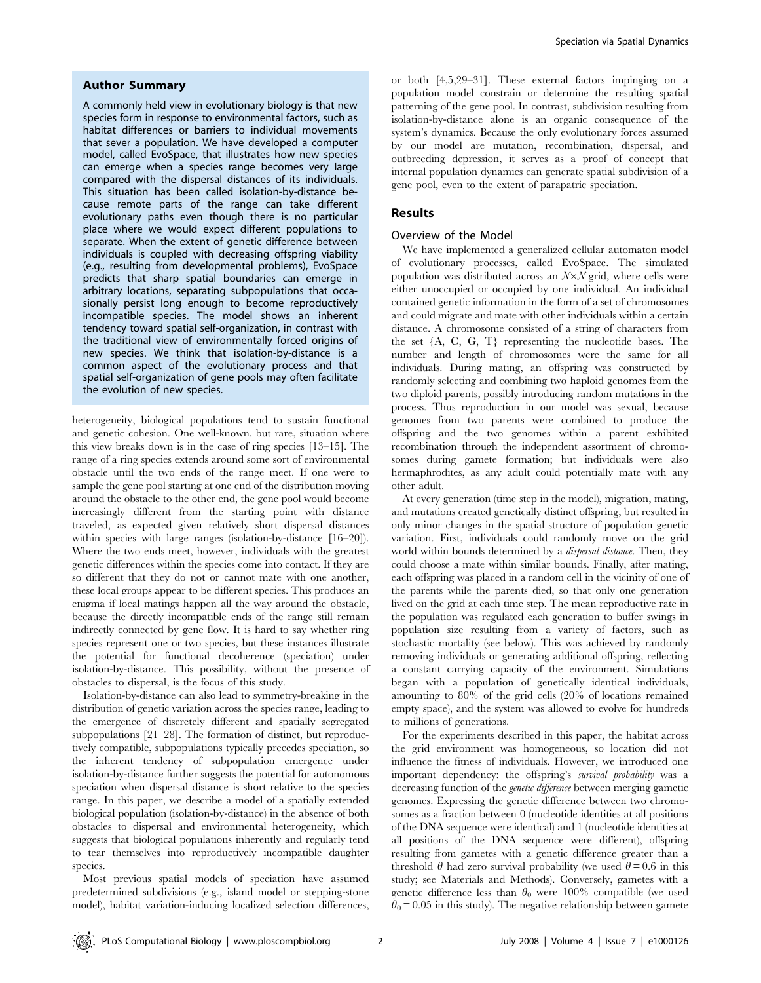### Author Summary

A commonly held view in evolutionary biology is that new species form in response to environmental factors, such as habitat differences or barriers to individual movements that sever a population. We have developed a computer model, called EvoSpace, that illustrates how new species can emerge when a species range becomes very large compared with the dispersal distances of its individuals. This situation has been called isolation-by-distance because remote parts of the range can take different evolutionary paths even though there is no particular place where we would expect different populations to separate. When the extent of genetic difference between individuals is coupled with decreasing offspring viability (e.g., resulting from developmental problems), EvoSpace predicts that sharp spatial boundaries can emerge in arbitrary locations, separating subpopulations that occasionally persist long enough to become reproductively incompatible species. The model shows an inherent tendency toward spatial self-organization, in contrast with the traditional view of environmentally forced origins of new species. We think that isolation-by-distance is a common aspect of the evolutionary process and that spatial self-organization of gene pools may often facilitate the evolution of new species.

heterogeneity, biological populations tend to sustain functional and genetic cohesion. One well-known, but rare, situation where this view breaks down is in the case of ring species [13–15]. The range of a ring species extends around some sort of environmental obstacle until the two ends of the range meet. If one were to sample the gene pool starting at one end of the distribution moving around the obstacle to the other end, the gene pool would become increasingly different from the starting point with distance traveled, as expected given relatively short dispersal distances within species with large ranges (isolation-by-distance [16–20]). Where the two ends meet, however, individuals with the greatest genetic differences within the species come into contact. If they are so different that they do not or cannot mate with one another, these local groups appear to be different species. This produces an enigma if local matings happen all the way around the obstacle, because the directly incompatible ends of the range still remain indirectly connected by gene flow. It is hard to say whether ring species represent one or two species, but these instances illustrate the potential for functional decoherence (speciation) under isolation-by-distance. This possibility, without the presence of obstacles to dispersal, is the focus of this study.

Isolation-by-distance can also lead to symmetry-breaking in the distribution of genetic variation across the species range, leading to the emergence of discretely different and spatially segregated subpopulations [21–28]. The formation of distinct, but reproductively compatible, subpopulations typically precedes speciation, so the inherent tendency of subpopulation emergence under isolation-by-distance further suggests the potential for autonomous speciation when dispersal distance is short relative to the species range. In this paper, we describe a model of a spatially extended biological population (isolation-by-distance) in the absence of both obstacles to dispersal and environmental heterogeneity, which suggests that biological populations inherently and regularly tend to tear themselves into reproductively incompatible daughter species.

Most previous spatial models of speciation have assumed predetermined subdivisions (e.g., island model or stepping-stone model), habitat variation-inducing localized selection differences,

or both [4,5,29–31]. These external factors impinging on a population model constrain or determine the resulting spatial patterning of the gene pool. In contrast, subdivision resulting from isolation-by-distance alone is an organic consequence of the system's dynamics. Because the only evolutionary forces assumed by our model are mutation, recombination, dispersal, and outbreeding depression, it serves as a proof of concept that internal population dynamics can generate spatial subdivision of a gene pool, even to the extent of parapatric speciation.

#### Results

## Overview of the Model

We have implemented a generalized cellular automaton model of evolutionary processes, called EvoSpace. The simulated population was distributed across an  $N \times N$  grid, where cells were either unoccupied or occupied by one individual. An individual contained genetic information in the form of a set of chromosomes and could migrate and mate with other individuals within a certain distance. A chromosome consisted of a string of characters from the set {A, C, G, T} representing the nucleotide bases. The number and length of chromosomes were the same for all individuals. During mating, an offspring was constructed by randomly selecting and combining two haploid genomes from the two diploid parents, possibly introducing random mutations in the process. Thus reproduction in our model was sexual, because genomes from two parents were combined to produce the offspring and the two genomes within a parent exhibited recombination through the independent assortment of chromosomes during gamete formation; but individuals were also hermaphrodites, as any adult could potentially mate with any other adult.

At every generation (time step in the model), migration, mating, and mutations created genetically distinct offspring, but resulted in only minor changes in the spatial structure of population genetic variation. First, individuals could randomly move on the grid world within bounds determined by a dispersal distance. Then, they could choose a mate within similar bounds. Finally, after mating, each offspring was placed in a random cell in the vicinity of one of the parents while the parents died, so that only one generation lived on the grid at each time step. The mean reproductive rate in the population was regulated each generation to buffer swings in population size resulting from a variety of factors, such as stochastic mortality (see below). This was achieved by randomly removing individuals or generating additional offspring, reflecting a constant carrying capacity of the environment. Simulations began with a population of genetically identical individuals, amounting to 80% of the grid cells (20% of locations remained empty space), and the system was allowed to evolve for hundreds to millions of generations.

For the experiments described in this paper, the habitat across the grid environment was homogeneous, so location did not influence the fitness of individuals. However, we introduced one important dependency: the offspring's survival probability was a decreasing function of the *genetic difference* between merging gametic genomes. Expressing the genetic difference between two chromosomes as a fraction between 0 (nucleotide identities at all positions of the DNA sequence were identical) and 1 (nucleotide identities at all positions of the DNA sequence were different), offspring resulting from gametes with a genetic difference greater than a threshold  $\theta$  had zero survival probability (we used  $\theta = 0.6$  in this study; see Materials and Methods). Conversely, gametes with a genetic difference less than  $\theta_0$  were 100% compatible (we used  $\theta_0$  = 0.05 in this study). The negative relationship between gamete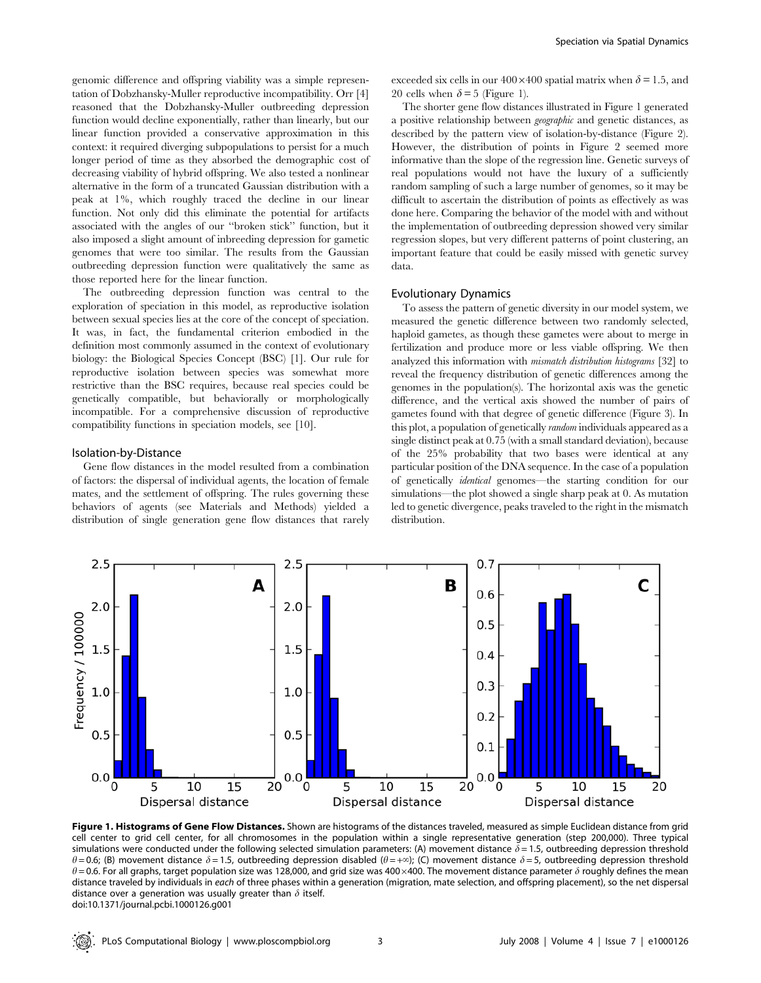genomic difference and offspring viability was a simple representation of Dobzhansky-Muller reproductive incompatibility. Orr [4] reasoned that the Dobzhansky-Muller outbreeding depression function would decline exponentially, rather than linearly, but our linear function provided a conservative approximation in this context: it required diverging subpopulations to persist for a much longer period of time as they absorbed the demographic cost of decreasing viability of hybrid offspring. We also tested a nonlinear alternative in the form of a truncated Gaussian distribution with a peak at 1%, which roughly traced the decline in our linear function. Not only did this eliminate the potential for artifacts associated with the angles of our ''broken stick'' function, but it also imposed a slight amount of inbreeding depression for gametic genomes that were too similar. The results from the Gaussian outbreeding depression function were qualitatively the same as those reported here for the linear function.

The outbreeding depression function was central to the exploration of speciation in this model, as reproductive isolation between sexual species lies at the core of the concept of speciation. It was, in fact, the fundamental criterion embodied in the definition most commonly assumed in the context of evolutionary biology: the Biological Species Concept (BSC) [1]. Our rule for reproductive isolation between species was somewhat more restrictive than the BSC requires, because real species could be genetically compatible, but behaviorally or morphologically incompatible. For a comprehensive discussion of reproductive compatibility functions in speciation models, see [10].

#### Isolation-by-Distance

Gene flow distances in the model resulted from a combination of factors: the dispersal of individual agents, the location of female mates, and the settlement of offspring. The rules governing these behaviors of agents (see Materials and Methods) yielded a distribution of single generation gene flow distances that rarely

exceeded six cells in our  $400 \times 400$  spatial matrix when  $\delta = 1.5$ , and 20 cells when  $\delta = 5$  (Figure 1).

The shorter gene flow distances illustrated in Figure 1 generated a positive relationship between geographic and genetic distances, as described by the pattern view of isolation-by-distance (Figure 2). However, the distribution of points in Figure 2 seemed more informative than the slope of the regression line. Genetic surveys of real populations would not have the luxury of a sufficiently random sampling of such a large number of genomes, so it may be difficult to ascertain the distribution of points as effectively as was done here. Comparing the behavior of the model with and without the implementation of outbreeding depression showed very similar regression slopes, but very different patterns of point clustering, an important feature that could be easily missed with genetic survey data.

#### Evolutionary Dynamics

To assess the pattern of genetic diversity in our model system, we measured the genetic difference between two randomly selected, haploid gametes, as though these gametes were about to merge in fertilization and produce more or less viable offspring. We then analyzed this information with mismatch distribution histograms [32] to reveal the frequency distribution of genetic differences among the genomes in the population(s). The horizontal axis was the genetic difference, and the vertical axis showed the number of pairs of gametes found with that degree of genetic difference (Figure 3). In this plot, a population of genetically random individuals appeared as a single distinct peak at 0.75 (with a small standard deviation), because of the 25% probability that two bases were identical at any particular position of the DNA sequence. In the case of a population of genetically identical genomes—the starting condition for our simulations—the plot showed a single sharp peak at 0. As mutation led to genetic divergence, peaks traveled to the right in the mismatch distribution.



Figure 1. Histograms of Gene Flow Distances. Shown are histograms of the distances traveled, measured as simple Euclidean distance from grid cell center to grid cell center, for all chromosomes in the population within a single representative generation (step 200,000). Three typical simulations were conducted under the following selected simulation parameters: (A) movement distance  $\delta$  = 1.5, outbreeding depression threshold  $\theta$  = 0.6; (B) movement distance  $\delta$  = 1.5, outbreeding depression disabled ( $\theta$  = + $\infty$ ); (C) movement distance  $\delta$  = 5, outbreeding depression threshold  $\theta$  = 0.6. For all graphs, target population size was 128,000, and grid size was 400×400. The movement distance parameter  $\delta$  roughly defines the mean distance traveled by individuals in each of three phases within a generation (migration, mate selection, and offspring placement), so the net dispersal distance over a generation was usually greater than  $\delta$  itself. doi:10.1371/journal.pcbi.1000126.g001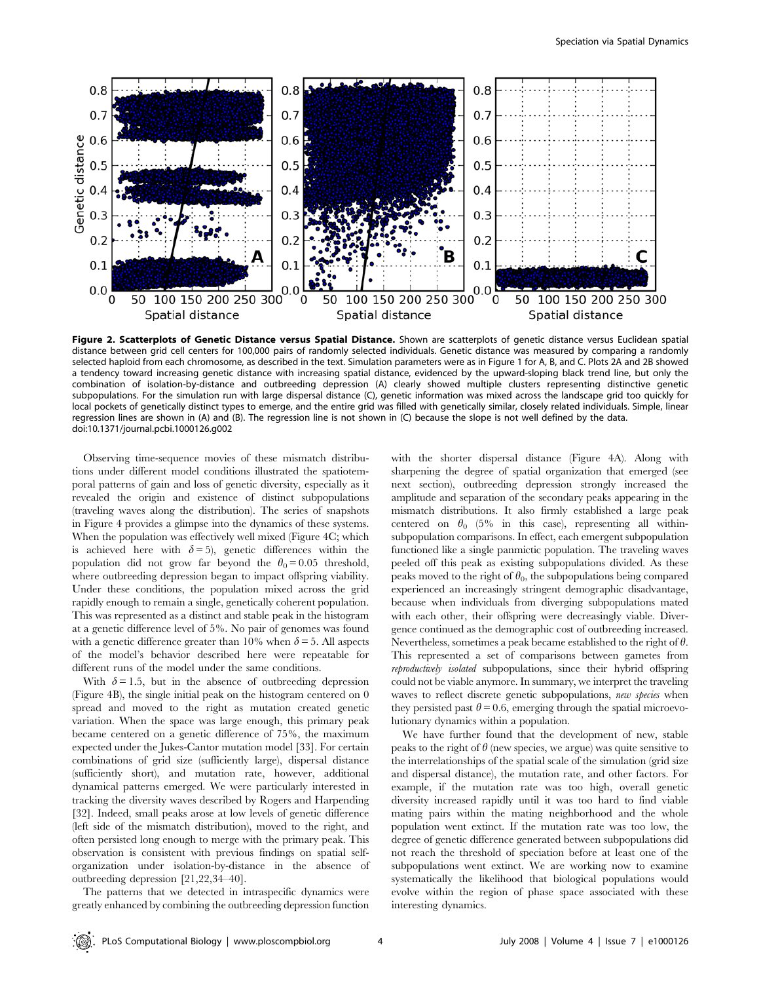

Figure 2. Scatterplots of Genetic Distance versus Spatial Distance. Shown are scatterplots of genetic distance versus Euclidean spatial distance between grid cell centers for 100,000 pairs of randomly selected individuals. Genetic distance was measured by comparing a randomly selected haploid from each chromosome, as described in the text. Simulation parameters were as in Figure 1 for A, B, and C. Plots 2A and 2B showed a tendency toward increasing genetic distance with increasing spatial distance, evidenced by the upward-sloping black trend line, but only the combination of isolation-by-distance and outbreeding depression (A) clearly showed multiple clusters representing distinctive genetic subpopulations. For the simulation run with large dispersal distance (C), genetic information was mixed across the landscape grid too quickly for local pockets of genetically distinct types to emerge, and the entire grid was filled with genetically similar, closely related individuals. Simple, linear regression lines are shown in (A) and (B). The regression line is not shown in (C) because the slope is not well defined by the data. doi:10.1371/journal.pcbi.1000126.g002

Observing time-sequence movies of these mismatch distributions under different model conditions illustrated the spatiotemporal patterns of gain and loss of genetic diversity, especially as it revealed the origin and existence of distinct subpopulations (traveling waves along the distribution). The series of snapshots in Figure 4 provides a glimpse into the dynamics of these systems. When the population was effectively well mixed (Figure 4C; which is achieved here with  $\delta = 5$ ), genetic differences within the population did not grow far beyond the  $\theta_0 = 0.05$  threshold, where outbreeding depression began to impact offspring viability. Under these conditions, the population mixed across the grid rapidly enough to remain a single, genetically coherent population. This was represented as a distinct and stable peak in the histogram at a genetic difference level of 5%. No pair of genomes was found with a genetic difference greater than 10% when  $\delta = 5$ . All aspects of the model's behavior described here were repeatable for different runs of the model under the same conditions.

With  $\delta = 1.5$ , but in the absence of outbreeding depression (Figure 4B), the single initial peak on the histogram centered on 0 spread and moved to the right as mutation created genetic variation. When the space was large enough, this primary peak became centered on a genetic difference of 75%, the maximum expected under the Jukes-Cantor mutation model [33]. For certain combinations of grid size (sufficiently large), dispersal distance (sufficiently short), and mutation rate, however, additional dynamical patterns emerged. We were particularly interested in tracking the diversity waves described by Rogers and Harpending [32]. Indeed, small peaks arose at low levels of genetic difference (left side of the mismatch distribution), moved to the right, and often persisted long enough to merge with the primary peak. This observation is consistent with previous findings on spatial selforganization under isolation-by-distance in the absence of outbreeding depression [21,22,34–40].

The patterns that we detected in intraspecific dynamics were greatly enhanced by combining the outbreeding depression function

with the shorter dispersal distance (Figure 4A). Along with sharpening the degree of spatial organization that emerged (see next section), outbreeding depression strongly increased the amplitude and separation of the secondary peaks appearing in the mismatch distributions. It also firmly established a large peak centered on  $\theta_0$  (5% in this case), representing all withinsubpopulation comparisons. In effect, each emergent subpopulation functioned like a single panmictic population. The traveling waves peeled off this peak as existing subpopulations divided. As these peaks moved to the right of  $\theta_0$ , the subpopulations being compared experienced an increasingly stringent demographic disadvantage, because when individuals from diverging subpopulations mated with each other, their offspring were decreasingly viable. Divergence continued as the demographic cost of outbreeding increased. Nevertheless, sometimes a peak became established to the right of  $\theta$ . This represented a set of comparisons between gametes from reproductively isolated subpopulations, since their hybrid offspring could not be viable anymore. In summary, we interpret the traveling waves to reflect discrete genetic subpopulations, new species when they persisted past  $\theta = 0.6$ , emerging through the spatial microevolutionary dynamics within a population.

We have further found that the development of new, stable peaks to the right of  $\theta$  (new species, we argue) was quite sensitive to the interrelationships of the spatial scale of the simulation (grid size and dispersal distance), the mutation rate, and other factors. For example, if the mutation rate was too high, overall genetic diversity increased rapidly until it was too hard to find viable mating pairs within the mating neighborhood and the whole population went extinct. If the mutation rate was too low, the degree of genetic difference generated between subpopulations did not reach the threshold of speciation before at least one of the subpopulations went extinct. We are working now to examine systematically the likelihood that biological populations would evolve within the region of phase space associated with these interesting dynamics.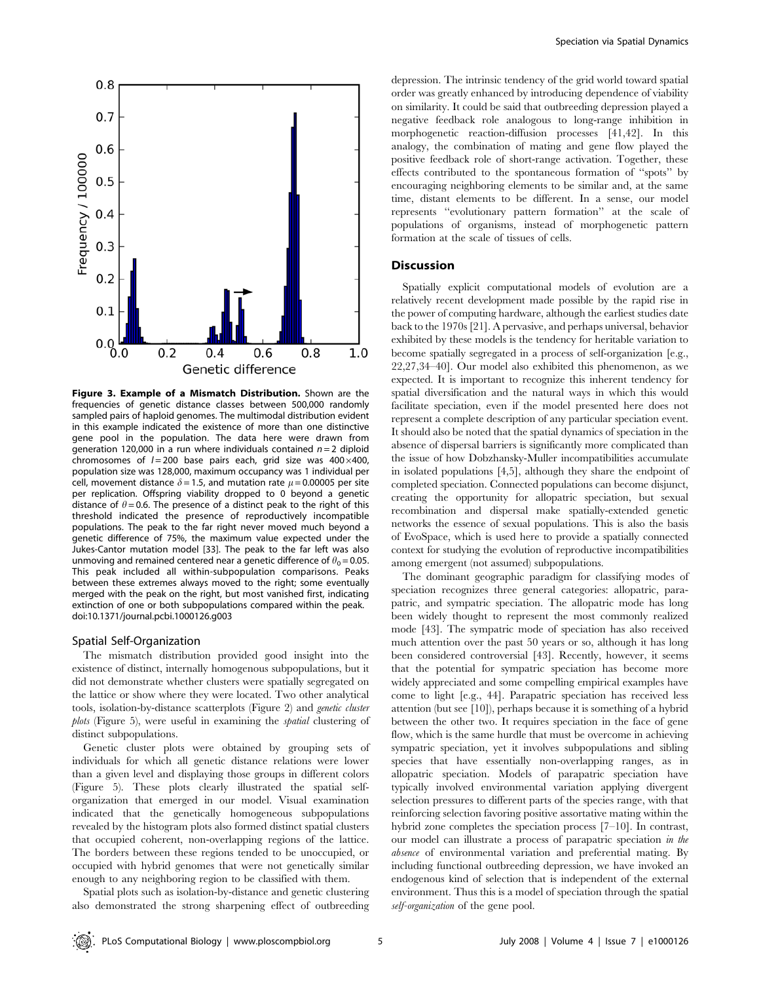

Figure 3. Example of a Mismatch Distribution. Shown are the frequencies of genetic distance classes between 500,000 randomly sampled pairs of haploid genomes. The multimodal distribution evident in this example indicated the existence of more than one distinctive gene pool in the population. The data here were drawn from generation 120,000 in a run where individuals contained  $n = 2$  diploid chromosomes of  $l = 200$  base pairs each, grid size was 400 $\times$ 400, population size was 128,000, maximum occupancy was 1 individual per cell, movement distance  $\delta = 1.5$ , and mutation rate  $\mu = 0.00005$  per site per replication. Offspring viability dropped to 0 beyond a genetic distance of  $\theta$  = 0.6. The presence of a distinct peak to the right of this threshold indicated the presence of reproductively incompatible populations. The peak to the far right never moved much beyond a genetic difference of 75%, the maximum value expected under the Jukes-Cantor mutation model [33]. The peak to the far left was also unmoving and remained centered near a genetic difference of  $\theta_0 = 0.05$ . This peak included all within-subpopulation comparisons. Peaks between these extremes always moved to the right; some eventually merged with the peak on the right, but most vanished first, indicating extinction of one or both subpopulations compared within the peak. doi:10.1371/journal.pcbi.1000126.g003

## Spatial Self-Organization

The mismatch distribution provided good insight into the existence of distinct, internally homogenous subpopulations, but it did not demonstrate whether clusters were spatially segregated on the lattice or show where they were located. Two other analytical tools, isolation-by-distance scatterplots (Figure 2) and genetic cluster plots (Figure 5), were useful in examining the spatial clustering of distinct subpopulations.

Genetic cluster plots were obtained by grouping sets of individuals for which all genetic distance relations were lower than a given level and displaying those groups in different colors (Figure 5). These plots clearly illustrated the spatial selforganization that emerged in our model. Visual examination indicated that the genetically homogeneous subpopulations revealed by the histogram plots also formed distinct spatial clusters that occupied coherent, non-overlapping regions of the lattice. The borders between these regions tended to be unoccupied, or occupied with hybrid genomes that were not genetically similar enough to any neighboring region to be classified with them.

Spatial plots such as isolation-by-distance and genetic clustering also demonstrated the strong sharpening effect of outbreeding depression. The intrinsic tendency of the grid world toward spatial order was greatly enhanced by introducing dependence of viability on similarity. It could be said that outbreeding depression played a negative feedback role analogous to long-range inhibition in morphogenetic reaction-diffusion processes [41,42]. In this analogy, the combination of mating and gene flow played the positive feedback role of short-range activation. Together, these effects contributed to the spontaneous formation of ''spots'' by encouraging neighboring elements to be similar and, at the same time, distant elements to be different. In a sense, our model represents ''evolutionary pattern formation'' at the scale of populations of organisms, instead of morphogenetic pattern formation at the scale of tissues of cells.

## Discussion

Spatially explicit computational models of evolution are a relatively recent development made possible by the rapid rise in the power of computing hardware, although the earliest studies date back to the 1970s [21]. A pervasive, and perhaps universal, behavior exhibited by these models is the tendency for heritable variation to become spatially segregated in a process of self-organization [e.g., 22,27,34–40]. Our model also exhibited this phenomenon, as we expected. It is important to recognize this inherent tendency for spatial diversification and the natural ways in which this would facilitate speciation, even if the model presented here does not represent a complete description of any particular speciation event. It should also be noted that the spatial dynamics of speciation in the absence of dispersal barriers is significantly more complicated than the issue of how Dobzhansky-Muller incompatibilities accumulate in isolated populations [4,5], although they share the endpoint of completed speciation. Connected populations can become disjunct, creating the opportunity for allopatric speciation, but sexual recombination and dispersal make spatially-extended genetic networks the essence of sexual populations. This is also the basis of EvoSpace, which is used here to provide a spatially connected context for studying the evolution of reproductive incompatibilities among emergent (not assumed) subpopulations.

The dominant geographic paradigm for classifying modes of speciation recognizes three general categories: allopatric, parapatric, and sympatric speciation. The allopatric mode has long been widely thought to represent the most commonly realized mode [43]. The sympatric mode of speciation has also received much attention over the past 50 years or so, although it has long been considered controversial [43]. Recently, however, it seems that the potential for sympatric speciation has become more widely appreciated and some compelling empirical examples have come to light [e.g., 44]. Parapatric speciation has received less attention (but see [10]), perhaps because it is something of a hybrid between the other two. It requires speciation in the face of gene flow, which is the same hurdle that must be overcome in achieving sympatric speciation, yet it involves subpopulations and sibling species that have essentially non-overlapping ranges, as in allopatric speciation. Models of parapatric speciation have typically involved environmental variation applying divergent selection pressures to different parts of the species range, with that reinforcing selection favoring positive assortative mating within the hybrid zone completes the speciation process [7–10]. In contrast, our model can illustrate a process of parapatric speciation in the absence of environmental variation and preferential mating. By including functional outbreeding depression, we have invoked an endogenous kind of selection that is independent of the external environment. Thus this is a model of speciation through the spatial self-organization of the gene pool.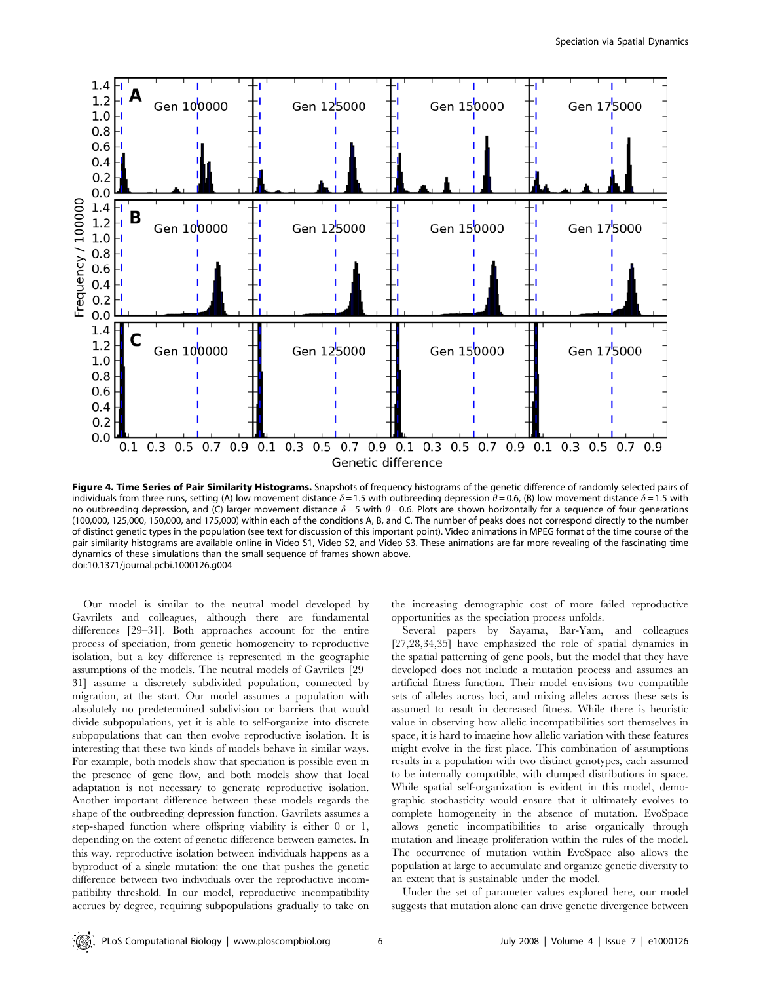

Figure 4. Time Series of Pair Similarity Histograms. Snapshots of frequency histograms of the genetic difference of randomly selected pairs of individuals from three runs, setting (A) low movement distance  $\delta = 1.5$  with outbreeding depression  $\theta = 0.6$ , (B) low movement distance  $\delta = 1.5$  with no outbreeding depression, and (C) larger movement distance  $\delta = 5$  with  $\theta = 0.6$ . Plots are shown horizontally for a sequence of four generations (100,000, 125,000, 150,000, and 175,000) within each of the conditions A, B, and C. The number of peaks does not correspond directly to the number of distinct genetic types in the population (see text for discussion of this important point). Video animations in MPEG format of the time course of the pair similarity histograms are available online in Video S1, Video S2, and Video S3. These animations are far more revealing of the fascinating time dynamics of these simulations than the small sequence of frames shown above. doi:10.1371/journal.pcbi.1000126.g004

Our model is similar to the neutral model developed by Gavrilets and colleagues, although there are fundamental differences [29–31]. Both approaches account for the entire process of speciation, from genetic homogeneity to reproductive isolation, but a key difference is represented in the geographic assumptions of the models. The neutral models of Gavrilets [29– 31] assume a discretely subdivided population, connected by migration, at the start. Our model assumes a population with absolutely no predetermined subdivision or barriers that would divide subpopulations, yet it is able to self-organize into discrete subpopulations that can then evolve reproductive isolation. It is interesting that these two kinds of models behave in similar ways. For example, both models show that speciation is possible even in the presence of gene flow, and both models show that local adaptation is not necessary to generate reproductive isolation. Another important difference between these models regards the shape of the outbreeding depression function. Gavrilets assumes a step-shaped function where offspring viability is either 0 or 1, depending on the extent of genetic difference between gametes. In this way, reproductive isolation between individuals happens as a byproduct of a single mutation: the one that pushes the genetic difference between two individuals over the reproductive incompatibility threshold. In our model, reproductive incompatibility accrues by degree, requiring subpopulations gradually to take on

the increasing demographic cost of more failed reproductive opportunities as the speciation process unfolds.

Several papers by Sayama, Bar-Yam, and colleagues [27,28,34,35] have emphasized the role of spatial dynamics in the spatial patterning of gene pools, but the model that they have developed does not include a mutation process and assumes an artificial fitness function. Their model envisions two compatible sets of alleles across loci, and mixing alleles across these sets is assumed to result in decreased fitness. While there is heuristic value in observing how allelic incompatibilities sort themselves in space, it is hard to imagine how allelic variation with these features might evolve in the first place. This combination of assumptions results in a population with two distinct genotypes, each assumed to be internally compatible, with clumped distributions in space. While spatial self-organization is evident in this model, demographic stochasticity would ensure that it ultimately evolves to complete homogeneity in the absence of mutation. EvoSpace allows genetic incompatibilities to arise organically through mutation and lineage proliferation within the rules of the model. The occurrence of mutation within EvoSpace also allows the population at large to accumulate and organize genetic diversity to an extent that is sustainable under the model.

Under the set of parameter values explored here, our model suggests that mutation alone can drive genetic divergence between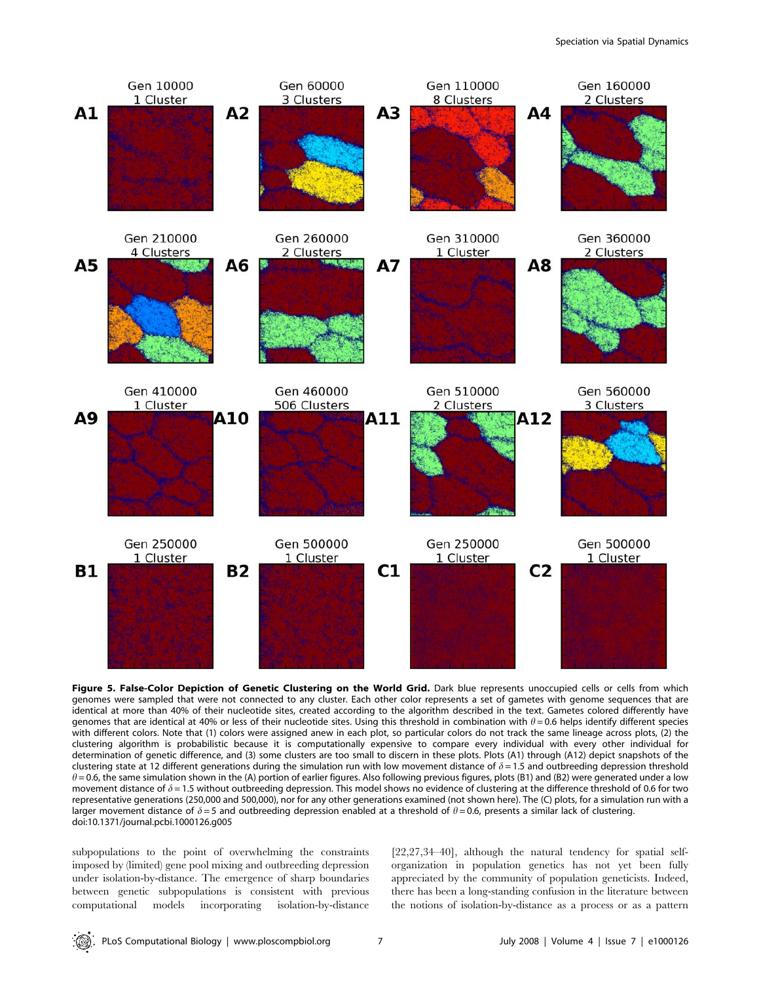

Figure 5. False-Color Depiction of Genetic Clustering on the World Grid. Dark blue represents unoccupied cells or cells from which genomes were sampled that were not connected to any cluster. Each other color represents a set of gametes with genome sequences that are identical at more than 40% of their nucleotide sites, created according to the algorithm described in the text. Gametes colored differently have genomes that are identical at 40% or less of their nucleotide sites. Using this threshold in combination with  $\theta$  = 0.6 helps identify different species with different colors. Note that (1) colors were assigned anew in each plot, so particular colors do not track the same lineage across plots, (2) the clustering algorithm is probabilistic because it is computationally expensive to compare every individual with every other individual for determination of genetic difference, and (3) some clusters are too small to discern in these plots. Plots (A1) through (A12) depict snapshots of the clustering state at 12 different generations during the simulation run with low movement distance of  $\delta$  = 1.5 and outbreeding depression threshold  $\theta$  = 0.6, the same simulation shown in the (A) portion of earlier figures. Also following previous figures, plots (B1) and (B2) were generated under a low movement distance of  $\delta$  = 1.5 without outbreeding depression. This model shows no evidence of clustering at the difference threshold of 0.6 for two representative generations (250,000 and 500,000), nor for any other generations examined (not shown here). The (C) plots, for a simulation run with a larger movement distance of  $\delta$  = 5 and outbreeding depression enabled at a threshold of  $\theta$  = 0.6, presents a similar lack of clustering. doi:10.1371/journal.pcbi.1000126.g005

subpopulations to the point of overwhelming the constraints imposed by (limited) gene pool mixing and outbreeding depression under isolation-by-distance. The emergence of sharp boundaries between genetic subpopulations is consistent with previous computational models incorporating isolation-by-distance

[22,27,34–40], although the natural tendency for spatial selforganization in population genetics has not yet been fully appreciated by the community of population geneticists. Indeed, there has been a long-standing confusion in the literature between the notions of isolation-by-distance as a process or as a pattern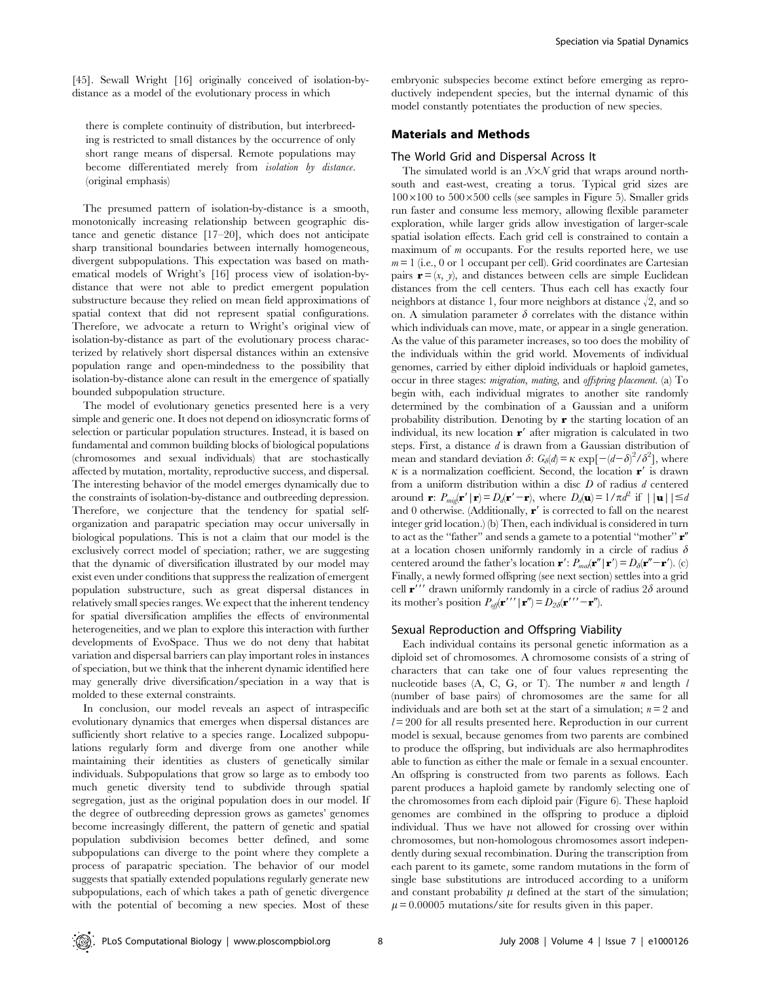[45]. Sewall Wright [16] originally conceived of isolation-bydistance as a model of the evolutionary process in which

there is complete continuity of distribution, but interbreeding is restricted to small distances by the occurrence of only short range means of dispersal. Remote populations may become differentiated merely from isolation by distance. (original emphasis)

The presumed pattern of isolation-by-distance is a smooth, monotonically increasing relationship between geographic distance and genetic distance [17–20], which does not anticipate sharp transitional boundaries between internally homogeneous, divergent subpopulations. This expectation was based on mathematical models of Wright's [16] process view of isolation-bydistance that were not able to predict emergent population substructure because they relied on mean field approximations of spatial context that did not represent spatial configurations. Therefore, we advocate a return to Wright's original view of isolation-by-distance as part of the evolutionary process characterized by relatively short dispersal distances within an extensive population range and open-mindedness to the possibility that isolation-by-distance alone can result in the emergence of spatially bounded subpopulation structure.

The model of evolutionary genetics presented here is a very simple and generic one. It does not depend on idiosyncratic forms of selection or particular population structures. Instead, it is based on fundamental and common building blocks of biological populations (chromosomes and sexual individuals) that are stochastically affected by mutation, mortality, reproductive success, and dispersal. The interesting behavior of the model emerges dynamically due to the constraints of isolation-by-distance and outbreeding depression. Therefore, we conjecture that the tendency for spatial selforganization and parapatric speciation may occur universally in biological populations. This is not a claim that our model is the exclusively correct model of speciation; rather, we are suggesting that the dynamic of diversification illustrated by our model may exist even under conditions that suppress the realization of emergent population substructure, such as great dispersal distances in relatively small species ranges. We expect that the inherent tendency for spatial diversification amplifies the effects of environmental heterogeneities, and we plan to explore this interaction with further developments of EvoSpace. Thus we do not deny that habitat variation and dispersal barriers can play important roles in instances of speciation, but we think that the inherent dynamic identified here may generally drive diversification/speciation in a way that is molded to these external constraints.

In conclusion, our model reveals an aspect of intraspecific evolutionary dynamics that emerges when dispersal distances are sufficiently short relative to a species range. Localized subpopulations regularly form and diverge from one another while maintaining their identities as clusters of genetically similar individuals. Subpopulations that grow so large as to embody too much genetic diversity tend to subdivide through spatial segregation, just as the original population does in our model. If the degree of outbreeding depression grows as gametes' genomes become increasingly different, the pattern of genetic and spatial population subdivision becomes better defined, and some subpopulations can diverge to the point where they complete a process of parapatric speciation. The behavior of our model suggests that spatially extended populations regularly generate new subpopulations, each of which takes a path of genetic divergence with the potential of becoming a new species. Most of these

embryonic subspecies become extinct before emerging as reproductively independent species, but the internal dynamic of this model constantly potentiates the production of new species.

#### Materials and Methods

## The World Grid and Dispersal Across It

The simulated world is an  $N \times N$  grid that wraps around northsouth and east-west, creating a torus. Typical grid sizes are  $100\times100$  to  $500\times500$  cells (see samples in Figure 5). Smaller grids run faster and consume less memory, allowing flexible parameter exploration, while larger grids allow investigation of larger-scale spatial isolation effects. Each grid cell is constrained to contain a maximum of  $m$  occupants. For the results reported here, we use  $m=1$  (i.e., 0 or 1 occupant per cell). Grid coordinates are Cartesian pairs  $\mathbf{r} = (x, y)$ , and distances between cells are simple Euclidean distances from the cell centers. Thus each cell has exactly four neighbors at distance 1, four more neighbors at distance  $\sqrt{2}$ , and so on. A simulation parameter  $\delta$  correlates with the distance within which individuals can move, mate, or appear in a single generation. As the value of this parameter increases, so too does the mobility of the individuals within the grid world. Movements of individual genomes, carried by either diploid individuals or haploid gametes, occur in three stages: migration, mating, and offspring placement. (a) To begin with, each individual migrates to another site randomly determined by the combination of a Gaussian and a uniform probability distribution. Denoting by  $\mathbf r$  the starting location of an individual, its new location  $\mathbf{r}'$  after migration is calculated in two steps. First, a distance d is drawn from a Gaussian distribution of mean and standard deviation  $\delta$ :  $G_{\delta}(d) = \kappa \exp[-(d-\delta)^2/\delta^2]$ , where  $\kappa$  is a normalization coefficient. Second, the location  $\mathbf{r}'$  is drawn from a uniform distribution within a disc  $D$  of radius  $d$  centered around **r**:  $P_{mig}(\mathbf{r}' | \mathbf{r}) = D_d(\mathbf{r}' - \mathbf{r})$ , where  $D_d(\mathbf{u}) = 1/\pi d^2$  if  $||\mathbf{u}|| \leq a$ and 0 otherwise. (Additionally,  $\mathbf{r}'$  is corrected to fall on the nearest integer grid location.) (b) Then, each individual is considered in turn to act as the "father" and sends a gamete to a potential "mother"  $\mathbf{r}$ " at a location chosen uniformly randomly in a circle of radius  $\delta$ centered around the father's location  $\mathbf{r}'$ :  $P_{mad}(\mathbf{r}''|\mathbf{r}') = D_{\delta}(\mathbf{r}''-\mathbf{r}')$ . (c) Finally, a newly formed offspring (see next section) settles into a grid cell  $\mathbf{r}^{\prime\prime\prime}$  drawn uniformly randomly in a circle of radius  $2\delta$  around its mother's position  $P_{\text{off}}(\mathbf{r}^{\prime\prime\prime}|\mathbf{r}^{\prime\prime}) = D_{2\delta}(\mathbf{r}^{\prime\prime\prime} - \mathbf{r}^{\prime\prime}).$ 

#### Sexual Reproduction and Offspring Viability

Each individual contains its personal genetic information as a diploid set of chromosomes. A chromosome consists of a string of characters that can take one of four values representing the nucleotide bases  $(A, C, G, or T)$ . The number *n* and length *l* (number of base pairs) of chromosomes are the same for all individuals and are both set at the start of a simulation;  $n = 2$  and  $l= 200$  for all results presented here. Reproduction in our current model is sexual, because genomes from two parents are combined to produce the offspring, but individuals are also hermaphrodites able to function as either the male or female in a sexual encounter. An offspring is constructed from two parents as follows. Each parent produces a haploid gamete by randomly selecting one of the chromosomes from each diploid pair (Figure 6). These haploid genomes are combined in the offspring to produce a diploid individual. Thus we have not allowed for crossing over within chromosomes, but non-homologous chromosomes assort independently during sexual recombination. During the transcription from each parent to its gamete, some random mutations in the form of single base substitutions are introduced according to a uniform and constant probability  $\mu$  defined at the start of the simulation;  $\mu$  = 0.00005 mutations/site for results given in this paper.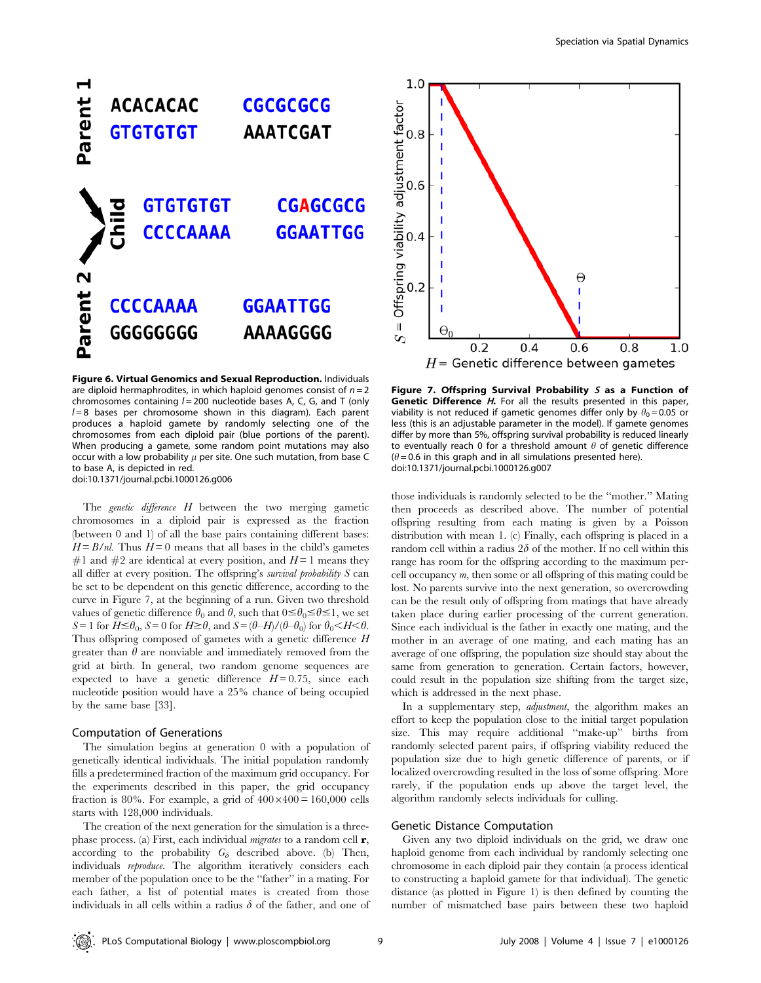

Figure 6. Virtual Genomics and Sexual Reproduction. Individuals are diploid hermaphrodites, in which haploid genomes consist of  $n = 2$ chromosomes containing  $l = 200$  nucleotide bases A, C, G, and T (only  $l = 8$  bases per chromosome shown in this diagram). Each parent produces a haploid gamete by randomly selecting one of the chromosomes from each diploid pair (blue portions of the parent). When producing a gamete, some random point mutations may also occur with a low probability  $\mu$  per site. One such mutation, from base C to base A, is depicted in red. doi:10.1371/journal.pcbi.1000126.g006

The *genetic difference* H between the two merging gametic chromosomes in a diploid pair is expressed as the fraction (between 0 and 1) of all the base pairs containing different bases:  $H = B/nl$ . Thus  $H = 0$  means that all bases in the child's gametes #1 and #2 are identical at every position, and  $H = 1$  means they all differ at every position. The offspring's survival probability S can be set to be dependent on this genetic difference, according to the curve in Figure 7, at the beginning of a run. Given two threshold values of genetic difference  $\theta_0$  and  $\theta$ , such that  $0 \le \theta_0 \le \theta \le 1$ , we set  $S = 1$  for  $H \leq \theta_0$ ,  $S = 0$  for  $H \geq \theta$ , and  $S = (\theta - H)/(\theta - \theta_0)$  for  $\theta_0 < H < \theta$ . Thus offspring composed of gametes with a genetic difference H greater than  $\theta$  are nonviable and immediately removed from the grid at birth. In general, two random genome sequences are expected to have a genetic difference  $H = 0.75$ , since each nucleotide position would have a 25% chance of being occupied by the same base [33].

#### Computation of Generations

The simulation begins at generation 0 with a population of genetically identical individuals. The initial population randomly fills a predetermined fraction of the maximum grid occupancy. For the experiments described in this paper, the grid occupancy fraction is 80%. For example, a grid of  $400 \times 400 = 160,000$  cells starts with 128,000 individuals.

The creation of the next generation for the simulation is a threephase process. (a) First, each individual *migrates* to a random cell  $\mathbf{r}$ , according to the probability  $G_{\delta}$  described above. (b) Then, individuals reproduce. The algorithm iteratively considers each member of the population once to be the ''father'' in a mating. For each father, a list of potential mates is created from those individuals in all cells within a radius  $\delta$  of the father, and one of



Figure 7. Offspring Survival Probability  $S$  as a Function of Genetic Difference H. For all the results presented in this paper, viability is not reduced if gametic genomes differ only by  $\theta_0 = 0.05$  or less (this is an adjustable parameter in the model). If gamete genomes differ by more than 5%, offspring survival probability is reduced linearly to eventually reach 0 for a threshold amount  $\theta$  of genetic difference  $(\theta = 0.6$  in this graph and in all simulations presented here). doi:10.1371/journal.pcbi.1000126.g007

those individuals is randomly selected to be the ''mother.'' Mating then proceeds as described above. The number of potential offspring resulting from each mating is given by a Poisson distribution with mean 1. (c) Finally, each offspring is placed in a random cell within a radius  $2\delta$  of the mother. If no cell within this range has room for the offspring according to the maximum percell occupancy  $m$ , then some or all offspring of this mating could be lost. No parents survive into the next generation, so overcrowding can be the result only of offspring from matings that have already taken place during earlier processing of the current generation. Since each individual is the father in exactly one mating, and the mother in an average of one mating, and each mating has an average of one offspring, the population size should stay about the same from generation to generation. Certain factors, however, could result in the population size shifting from the target size, which is addressed in the next phase.

In a supplementary step, *adjustment*, the algorithm makes an effort to keep the population close to the initial target population size. This may require additional ''make-up'' births from randomly selected parent pairs, if offspring viability reduced the population size due to high genetic difference of parents, or if localized overcrowding resulted in the loss of some offspring. More rarely, if the population ends up above the target level, the algorithm randomly selects individuals for culling.

## Genetic Distance Computation

Given any two diploid individuals on the grid, we draw one haploid genome from each individual by randomly selecting one chromosome in each diploid pair they contain (a process identical to constructing a haploid gamete for that individual). The genetic distance (as plotted in Figure 1) is then defined by counting the number of mismatched base pairs between these two haploid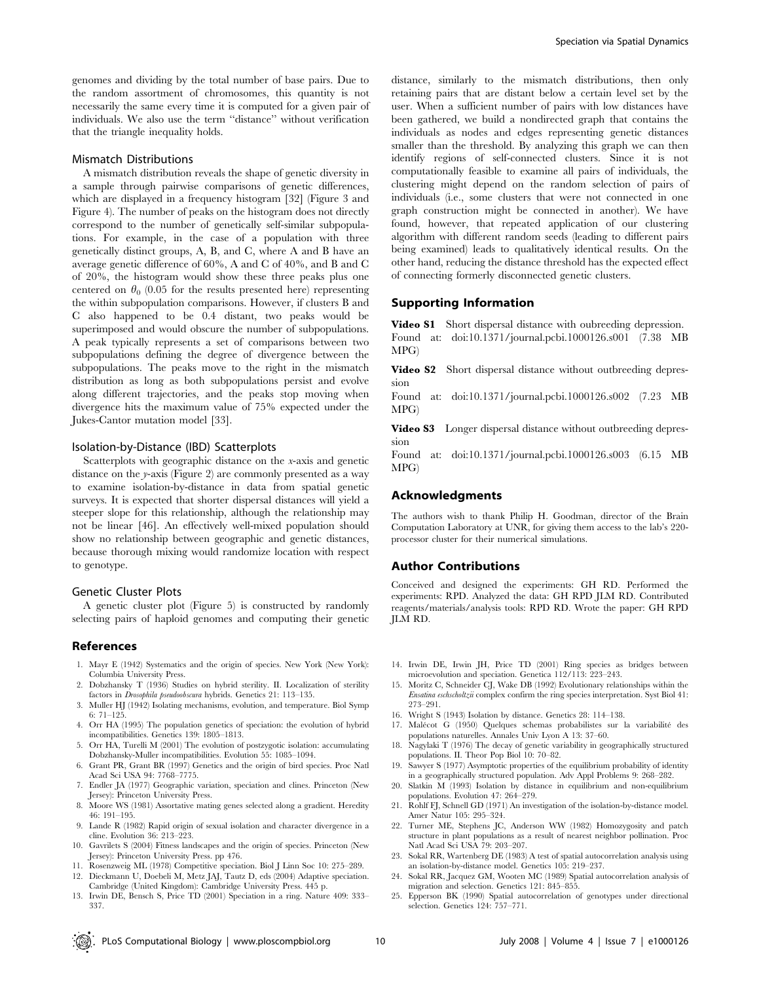genomes and dividing by the total number of base pairs. Due to the random assortment of chromosomes, this quantity is not necessarily the same every time it is computed for a given pair of individuals. We also use the term ''distance'' without verification that the triangle inequality holds.

#### Mismatch Distributions

A mismatch distribution reveals the shape of genetic diversity in a sample through pairwise comparisons of genetic differences, which are displayed in a frequency histogram [32] (Figure 3 and Figure 4). The number of peaks on the histogram does not directly correspond to the number of genetically self-similar subpopulations. For example, in the case of a population with three genetically distinct groups, A, B, and C, where A and B have an average genetic difference of 60%, A and C of 40%, and B and C of 20%, the histogram would show these three peaks plus one centered on  $\theta_0$  (0.05 for the results presented here) representing the within subpopulation comparisons. However, if clusters B and C also happened to be 0.4 distant, two peaks would be superimposed and would obscure the number of subpopulations. A peak typically represents a set of comparisons between two subpopulations defining the degree of divergence between the subpopulations. The peaks move to the right in the mismatch distribution as long as both subpopulations persist and evolve along different trajectories, and the peaks stop moving when divergence hits the maximum value of 75% expected under the Jukes-Cantor mutation model [33].

#### Isolation-by-Distance (IBD) Scatterplots

Scatterplots with geographic distance on the x-axis and genetic distance on the y-axis (Figure 2) are commonly presented as a way to examine isolation-by-distance in data from spatial genetic surveys. It is expected that shorter dispersal distances will yield a steeper slope for this relationship, although the relationship may not be linear [46]. An effectively well-mixed population should show no relationship between geographic and genetic distances, because thorough mixing would randomize location with respect to genotype.

#### Genetic Cluster Plots

A genetic cluster plot (Figure 5) is constructed by randomly selecting pairs of haploid genomes and computing their genetic

#### References

- 1. Mayr E (1942) Systematics and the origin of species. New York (New York): Columbia University Press.
- 2. Dobzhansky T (1936) Studies on hybrid sterility. II. Localization of sterility factors in Drosophila pseudoobscura hybrids. Genetics 21: 113–135.
- 3. Muller HJ (1942) Isolating mechanisms, evolution, and temperature. Biol Symp 6: 71–125.
- 4. Orr HA (1995) The population genetics of speciation: the evolution of hybrid incompatibilities. Genetics 139: 1805–1813.
- 5. Orr HA, Turelli M (2001) The evolution of postzygotic isolation: accumulating Dobzhansky-Muller incompatibilities. Evolution 55: 1085–1094.
- 6. Grant PR, Grant BR (1997) Genetics and the origin of bird species. Proc Natl Acad Sci USA 94: 7768–7775.
- 7. Endler JA (1977) Geographic variation, speciation and clines. Princeton (New Jersey): Princeton University Press.
- 8. Moore WS (1981) Assortative mating genes selected along a gradient. Heredity 46: 191–195.
- 9. Lande R (1982) Rapid origin of sexual isolation and character divergence in a cline. Evolution 36: 213–223.
- 10. Gavrilets S (2004) Fitness landscapes and the origin of species. Princeton (New Jersey): Princeton University Press. pp 476.
- 11. Rosenzweig ML (1978) Competitive speciation. Biol J Linn Soc 10: 275–289.
- 12. Dieckmann U, Doebeli M, Metz JAJ, Tautz D, eds (2004) Adaptive speciation.
- Cambridge (United Kingdom): Cambridge University Press. 445 p. 13. Irwin DE, Bensch S, Price TD (2001) Speciation in a ring. Nature 409: 333– 337.

distance, similarly to the mismatch distributions, then only retaining pairs that are distant below a certain level set by the user. When a sufficient number of pairs with low distances have been gathered, we build a nondirected graph that contains the individuals as nodes and edges representing genetic distances smaller than the threshold. By analyzing this graph we can then identify regions of self-connected clusters. Since it is not computationally feasible to examine all pairs of individuals, the clustering might depend on the random selection of pairs of individuals (i.e., some clusters that were not connected in one graph construction might be connected in another). We have found, however, that repeated application of our clustering algorithm with different random seeds (leading to different pairs being examined) leads to qualitatively identical results. On the other hand, reducing the distance threshold has the expected effect of connecting formerly disconnected genetic clusters.

## Supporting Information

Video S1 Short dispersal distance with oubreeding depression. Found at: doi:10.1371/journal.pcbi.1000126.s001 (7.38 MB MPG)

Video S2 Short dispersal distance without outbreeding depression

Found at: doi:10.1371/journal.pcbi.1000126.s002 (7.23 MB MPG)

Video S3 Longer dispersal distance without outbreeding depression

Found at: doi:10.1371/journal.pcbi.1000126.s003 (6.15 MB MPG)

#### Acknowledgments

The authors wish to thank Philip H. Goodman, director of the Brain Computation Laboratory at UNR, for giving them access to the lab's 220 processor cluster for their numerical simulations.

#### Author Contributions

Conceived and designed the experiments: GH RD. Performed the experiments: RPD. Analyzed the data: GH RPD JLM RD. Contributed reagents/materials/analysis tools: RPD RD. Wrote the paper: GH RPD JLM RD.

- 14. Irwin DE, Irwin JH, Price TD (2001) Ring species as bridges between microevolution and speciation. Genetica 112/113: 223–243.
- 15. Moritz C, Schneider CJ, Wake DB (1992) Evolutionary relationships within the Ensatina eschscholtzii complex confirm the ring species interpretation. Syst Biol 41: 273–291.
- 16. Wright S (1943) Isolation by distance. Genetics 28: 114–138.
- 17. Malécot G (1950) Quelques schemas probabilistes sur la variabilité des populations naturelles. Annales Univ Lyon A 13: 37–60.
- 18. Nagylaki T (1976) The decay of genetic variability in geographically structured populations. II. Theor Pop Biol 10: 70–82.
- 19. Sawyer S (1977) Asymptotic properties of the equilibrium probability of identity in a geographically structured population. Adv Appl Problems 9: 268–282.
- 20. Slatkin M (1993) Isolation by distance in equilibrium and non-equilibrium populations. Evolution 47: 264–279.
- 21. Rohlf FJ, Schnell GD (1971) An investigation of the isolation-by-distance model. Amer Natur 105: 295–324.
- 22. Turner ME, Stephens JC, Anderson WW (1982) Homozygosity and patch structure in plant populations as a result of nearest neighbor pollination. Proc Natl Acad Sci USA 79: 203–207.
- 23. Sokal RR, Wartenberg DE (1983) A test of spatial autocorrelation analysis using an isolation-by-distance model. Genetics 105: 219–237.
- 24. Sokal RR, Jacquez GM, Wooten MC (1989) Spatial autocorrelation analysis of migration and selection. Genetics 121: 845–855.
- 25. Epperson BK (1990) Spatial autocorrelation of genotypes under directional selection. Genetics 124: 757–771.